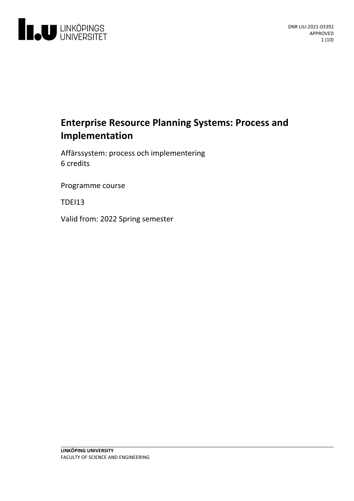

# **Enterprise Resource PlanningSystems: Process and Implementation**

Affärssystem: process och implementering 6 credits

Programme course

**TDEI13** 

Valid from: 2022 Spring semester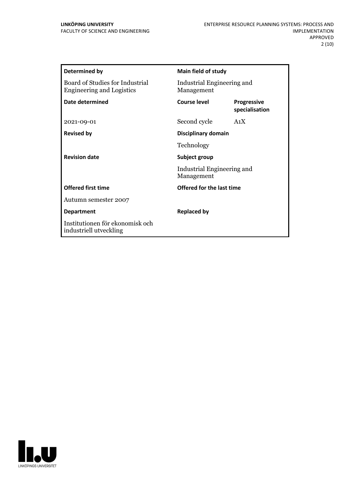| Determined by                                                       | <b>Main field of study</b>                                |                                      |
|---------------------------------------------------------------------|-----------------------------------------------------------|--------------------------------------|
| Board of Studies for Industrial<br><b>Engineering and Logistics</b> | Industrial Engineering and<br>Management                  |                                      |
| Date determined                                                     | Course level                                              | <b>Progressive</b><br>specialisation |
| 2021-09-01                                                          | Second cycle                                              | A1X                                  |
| <b>Revised by</b>                                                   | Disciplinary domain                                       |                                      |
|                                                                     | Technology                                                |                                      |
| <b>Revision date</b>                                                | Subject group<br>Industrial Engineering and<br>Management |                                      |
|                                                                     |                                                           |                                      |
| <b>Offered first time</b>                                           | Offered for the last time                                 |                                      |
| Autumn semester 2007                                                |                                                           |                                      |
| <b>Department</b>                                                   | <b>Replaced by</b>                                        |                                      |
| Institutionen för ekonomisk och<br>industriell utveckling           |                                                           |                                      |

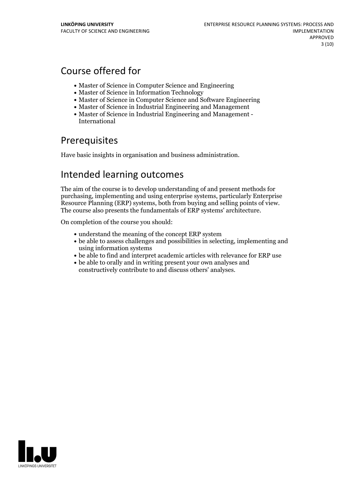# Course offered for

- Master of Science in Computer Science and Engineering
- Master of Science in Information Technology
- Master of Science in Computer Science and Software Engineering
- Master of Science in Industrial Engineering and Management
- Master of Science in Industrial Engineering and Management International

## **Prerequisites**

Have basic insights in organisation and business administration.

## Intended learning outcomes

The aim of the course is to develop understanding of and present methods for purchasing, implementing and using enterprise systems, particularly Enterprise Resource Planning (ERP) systems, both from buying and selling points of view. The course also presents the fundamentals of ERP systems' architecture.

On completion of the course you should:

- understand the meaning of the concept ERP system
- be able to assess challenges and possibilities in selecting, implementing and using information systems
- be able to find and interpret academic articles with relevance for ERP use
- be able to orally and in writing present your own analyses and constructively contribute to and discuss others' analyses.

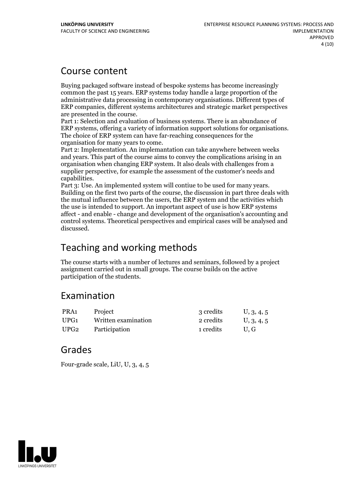## Course content

Buying packaged software instead of bespoke systems has become increasingly common the past 15 years. ERP systems today handle a large proportion of the administrative data processing in contemporary organisations. Different types of ERP companies, different systems architectures and strategic market perspectives

Part 1: Selection and evaluation of business systems. There is an abundance of ERP systems, offering a variety of information support solutions for organisations. The choice of ERP system can have far-reaching consequences for the

organisation for many years to come. Part 2: Implementation. An implemantation can take anywhere between weeks and years. This part of the course aims to convey the complications arising in an organisation when changing ERP system. It also deals with challenges from a supplier perspective, for example the assessment of the customer's needs and

capabilities. Part 3: Use. An implemented system will contiue to be used for many years. Building on the first two parts of the course, the discussion in part three deals with the mutual influence between the users, the ERP system and the activities which the use is intended to support. An important aspect of use is how ERP systems affect - and enable - change and development of the organisation's accounting and control systems. Theoretical perspectives and empirical cases will be analysed and discussed.

## Teaching and working methods

The course starts with a number of lectures and seminars, followed by a project assignment carried out in small groups. The course builds on the active participation of the students.

## Examination

| PRA1 | Project             | 3 credits | U, 3, 4, 5 |
|------|---------------------|-----------|------------|
| UPG1 | Written examination | 2 credits | U, 3, 4, 5 |
| UPG2 | Participation       | 1 credits | U.G        |

## Grades

Four-grade scale, LiU, U, 3, 4, 5

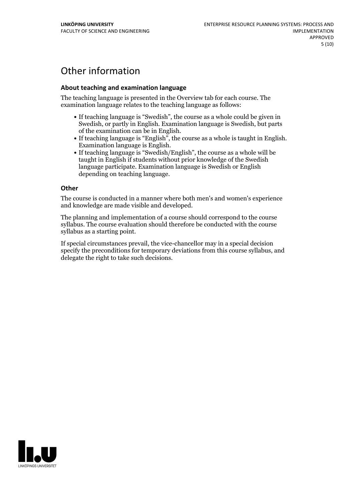# Other information

### **About teaching and examination language**

The teaching language is presented in the Overview tab for each course. The examination language relates to the teaching language as follows:

- If teaching language is "Swedish", the course as a whole could be given in Swedish, or partly in English. Examination language is Swedish, but parts
- of the examination can be in English.<br>
If teaching language is "English", the course as a whole is taught in English.<br>
Examination language is English.<br>
If teaching language is "Swedish/English", the course as a whole will
- taught in English if students without prior knowledge of the Swedish language participate. Examination language is Swedish or English depending on teaching language.

#### **Other**

The course is conducted in a manner where both men's and women's experience and knowledge are made visible and developed.

The planning and implementation of a course should correspond to the course syllabus. The course evaluation should therefore be conducted with the course syllabus as a starting point.

If special circumstances prevail, the vice-chancellor may in a special decision specify the preconditions for temporary deviations from this course syllabus, and delegate the right to take such decisions.

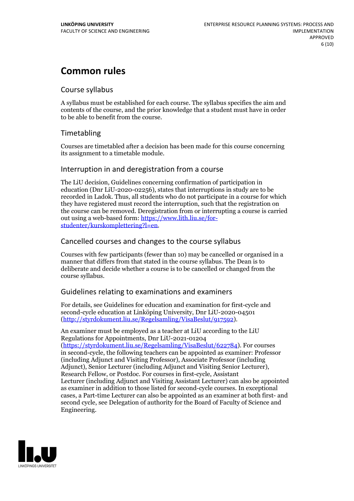# **Common rules**

## Course syllabus

A syllabus must be established for each course. The syllabus specifies the aim and contents of the course, and the prior knowledge that a student must have in order to be able to benefit from the course.

## Timetabling

Courses are timetabled after a decision has been made for this course concerning its assignment to a timetable module.

## Interruption in and deregistration from a course

The LiU decision, Guidelines concerning confirmation of participation in education (Dnr LiU-2020-02256), states that interruptions in study are to be recorded in Ladok. Thus, all students who do not participate in a course for which they have registered must record the interruption, such that the registration on the course can be removed. Deregistration from or interrupting a course is carried out using <sup>a</sup> web-based form: https://www.lith.liu.se/for- [studenter/kurskomplettering?l=en.](https://www.lith.liu.se/for-studenter/kurskomplettering?l=en)

## Cancelled coursesand changes to the course syllabus

Courses with few participants (fewer than 10) may be cancelled or organised in a manner that differs from that stated in the course syllabus. The Dean is to deliberate and decide whether a course is to be cancelled or changed from the course syllabus.

## Guidelines relating to examinations and examiners

For details, see Guidelines for education and examination for first-cycle and second-cycle education at Linköping University, Dnr LiU-2020-04501 [\(http://styrdokument.liu.se/Regelsamling/VisaBeslut/917592\)](http://styrdokument.liu.se/Regelsamling/VisaBeslut/917592).

An examiner must be employed as a teacher at LiU according to the LiU Regulations for Appointments, Dnr LiU-2021-01204 [\(https://styrdokument.liu.se/Regelsamling/VisaBeslut/622784](https://styrdokument.liu.se/Regelsamling/VisaBeslut/622784)). For courses in second-cycle, the following teachers can be appointed as examiner: Professor (including Adjunct and Visiting Professor), Associate Professor (including Adjunct), Senior Lecturer (including Adjunct and Visiting Senior Lecturer), Research Fellow, or Postdoc. For courses in first-cycle, Assistant Lecturer (including Adjunct and Visiting Assistant Lecturer) can also be appointed as examiner in addition to those listed for second-cycle courses. In exceptional cases, a Part-time Lecturer can also be appointed as an examiner at both first- and second cycle, see Delegation of authority for the Board of Faculty of Science and Engineering.

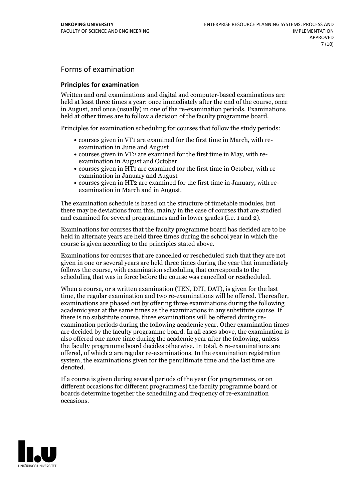## Forms of examination

#### **Principles for examination**

Written and oral examinations and digital and computer-based examinations are held at least three times a year: once immediately after the end of the course, once in August, and once (usually) in one of the re-examination periods. Examinations held at other times are to follow a decision of the faculty programme board.

Principles for examination scheduling for courses that follow the study periods:

- courses given in VT1 are examined for the first time in March, with re-examination in June and August
- courses given in VT2 are examined for the first time in May, with re-examination in August and October
- courses given in HT1 are examined for the first time in October, with re-examination in January and August
- courses given in HT2 are examined for the first time in January, with re-examination in March and in August.

The examination schedule is based on the structure of timetable modules, but there may be deviations from this, mainly in the case of courses that are studied and examined for several programmes and in lower grades (i.e. 1 and 2).

Examinations for courses that the faculty programme board has decided are to be held in alternate years are held three times during the school year in which the course is given according to the principles stated above.

Examinations for courses that are cancelled orrescheduled such that they are not given in one or several years are held three times during the year that immediately follows the course, with examination scheduling that corresponds to the scheduling that was in force before the course was cancelled or rescheduled.

When a course, or a written examination (TEN, DIT, DAT), is given for the last time, the regular examination and two re-examinations will be offered. Thereafter, examinations are phased out by offering three examinations during the following academic year at the same times as the examinations in any substitute course. If there is no substitute course, three examinations will be offered during re- examination periods during the following academic year. Other examination times are decided by the faculty programme board. In all cases above, the examination is also offered one more time during the academic year after the following, unless the faculty programme board decides otherwise. In total, 6 re-examinations are offered, of which 2 are regular re-examinations. In the examination registration system, the examinations given for the penultimate time and the last time are denoted.

If a course is given during several periods of the year (for programmes, or on different occasions for different programmes) the faculty programme board or boards determine together the scheduling and frequency of re-examination occasions.

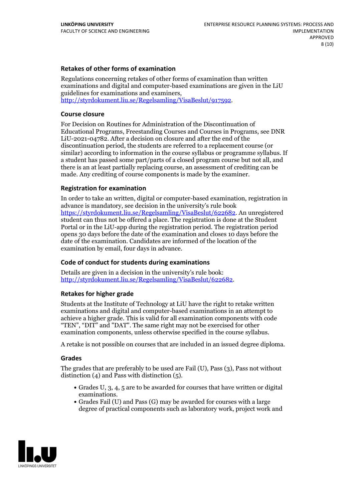### **Retakes of other forms of examination**

Regulations concerning retakes of other forms of examination than written examinations and digital and computer-based examinations are given in the LiU guidelines for examinations and examiners, [http://styrdokument.liu.se/Regelsamling/VisaBeslut/917592.](http://styrdokument.liu.se/Regelsamling/VisaBeslut/917592)

#### **Course closure**

For Decision on Routines for Administration of the Discontinuation of Educational Programs, Freestanding Courses and Courses in Programs, see DNR LiU-2021-04782. After a decision on closure and after the end of the discontinuation period, the students are referred to a replacement course (or similar) according to information in the course syllabus or programme syllabus. If a student has passed some part/parts of a closed program course but not all, and there is an at least partially replacing course, an assessment of crediting can be made. Any crediting of course components is made by the examiner.

### **Registration for examination**

In order to take an written, digital or computer-based examination, registration in advance is mandatory, see decision in the university's rule book [https://styrdokument.liu.se/Regelsamling/VisaBeslut/622682.](https://styrdokument.liu.se/Regelsamling/VisaBeslut/622682) An unregistered student can thus not be offered a place. The registration is done at the Student Portal or in the LiU-app during the registration period. The registration period opens 30 days before the date of the examination and closes 10 days before the date of the examination. Candidates are informed of the location of the examination by email, four days in advance.

### **Code of conduct for students during examinations**

Details are given in a decision in the university's rule book: <http://styrdokument.liu.se/Regelsamling/VisaBeslut/622682>.

#### **Retakes for higher grade**

Students at the Institute of Technology at LiU have the right to retake written examinations and digital and computer-based examinations in an attempt to achieve a higher grade. This is valid for all examination components with code "TEN", "DIT" and "DAT". The same right may not be exercised for other examination components, unless otherwise specified in the course syllabus.

A retake is not possible on courses that are included in an issued degree diploma.

#### **Grades**

The grades that are preferably to be used are Fail (U), Pass (3), Pass not without distinction  $(4)$  and Pass with distinction  $(5)$ .

- Grades U, 3, 4, 5 are to be awarded for courses that have written or digital examinations.<br>• Grades Fail (U) and Pass (G) may be awarded for courses with a large
- degree of practical components such as laboratory work, project work and

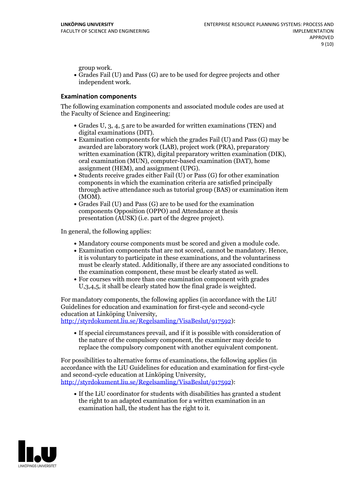group work.<br>• Grades Fail (U) and Pass (G) are to be used for degree projects and other independent work.

#### **Examination components**

The following examination components and associated module codes are used at the Faculty of Science and Engineering:

- Grades U, 3, 4, 5 are to be awarded for written examinations (TEN) and
- digital examinations (DIT).<br>• Examination components for which the grades Fail (U) and Pass (G) may be awarded are laboratory work (LAB), project work (PRA), preparatory written examination (KTR), digital preparatory written examination (DIK), oral examination (MUN), computer-based examination (DAT), home
- assignment (HEM), and assignment (UPG).<br>• Students receive grades either Fail (U) or Pass (G) for other examination components in which the examination criteria are satisfied principally through active attendance such as tutorial group (BAS) or examination item
- (MOM).<br>• Grades Fail (U) and Pass (G) are to be used for the examination components Opposition (OPPO) and Attendance at thesis presentation (AUSK) (i.e. part of the degree project).

In general, the following applies:

- 
- Mandatory course components must be scored and given <sup>a</sup> module code. Examination components that are not scored, cannot be mandatory. Hence, it is voluntary to participate in these examinations, and the voluntariness must be clearly stated. Additionally, if there are any associated conditions to
- the examination component, these must be clearly stated as well.<br>• For courses with more than one examination component with grades U,3,4,5, it shall be clearly stated how the final grade is weighted.

For mandatory components, the following applies (in accordance with the LiU Guidelines for education and examination for first-cycle and second-cycle education at Linköping University,<br>[http://styrdokument.liu.se/Regelsamling/VisaBeslut/917592\)](http://styrdokument.liu.se/Regelsamling/VisaBeslut/917592):

If special circumstances prevail, and if it is possible with consideration of the nature of the compulsory component, the examiner may decide to replace the compulsory component with another equivalent component.

For possibilities to alternative forms of examinations, the following applies (in accordance with the LiU Guidelines for education and examination for first-cycle [http://styrdokument.liu.se/Regelsamling/VisaBeslut/917592\)](http://styrdokument.liu.se/Regelsamling/VisaBeslut/917592):

If the LiU coordinator for students with disabilities has granted a student the right to an adapted examination for a written examination in an examination hall, the student has the right to it.